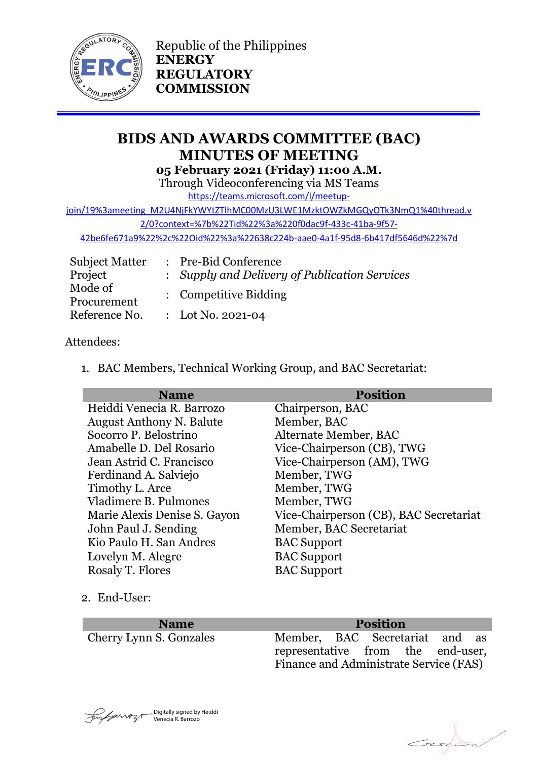

Republic of the Philippines **ENERGY REGULATORY COMMISSION**

# **BIDS AND AWARDS COMMITTEE (BAC) MINUTES OF MEETING 05 February 2021 (Friday) 11:00 A.M.**

Through Videoconferencing via MS Teams

[https://teams.microsoft.com/l/meetup-](https://teams.microsoft.com/l/meetup-join/19%3ameeting_M2U4NjFkYWYtZTlhMC00MzU3LWE1MzktOWZkMGQyOTk3NmQ1%40thread.v2/0?context=%7b%22Tid%22%3a%220f0dac9f-433c-41ba-9f57-42be6fe671a9%22%2c%22Oid%22%3a%22638c224b-aae0-4a1f-95d8-6b417df5646d%22%7d)

[join/19%3ameeting\\_M2U4NjFkYWYtZTlhMC00MzU3LWE1MzktOWZkMGQyOTk3NmQ1%40thread.v](https://teams.microsoft.com/l/meetup-join/19%3ameeting_M2U4NjFkYWYtZTlhMC00MzU3LWE1MzktOWZkMGQyOTk3NmQ1%40thread.v2/0?context=%7b%22Tid%22%3a%220f0dac9f-433c-41ba-9f57-42be6fe671a9%22%2c%22Oid%22%3a%22638c224b-aae0-4a1f-95d8-6b417df5646d%22%7d)

[2/0?context=%7b%22Tid%22%3a%220f0dac9f-433c-41ba-9f57-](https://teams.microsoft.com/l/meetup-join/19%3ameeting_M2U4NjFkYWYtZTlhMC00MzU3LWE1MzktOWZkMGQyOTk3NmQ1%40thread.v2/0?context=%7b%22Tid%22%3a%220f0dac9f-433c-41ba-9f57-42be6fe671a9%22%2c%22Oid%22%3a%22638c224b-aae0-4a1f-95d8-6b417df5646d%22%7d)

[42be6fe671a9%22%2c%22Oid%22%3a%22638c224b-aae0-4a1f-95d8-6b417df5646d%22%7d](https://teams.microsoft.com/l/meetup-join/19%3ameeting_M2U4NjFkYWYtZTlhMC00MzU3LWE1MzktOWZkMGQyOTk3NmQ1%40thread.v2/0?context=%7b%22Tid%22%3a%220f0dac9f-433c-41ba-9f57-42be6fe671a9%22%2c%22Oid%22%3a%22638c224b-aae0-4a1f-95d8-6b417df5646d%22%7d)

| <b>Subject Matter</b>  | : Pre-Bid Conference                          |
|------------------------|-----------------------------------------------|
| Project                | : Supply and Delivery of Publication Services |
| Mode of<br>Procurement | : Competitive Bidding                         |
| Reference No.          | : Lot No. 2021-04                             |

# Attendees:

1. BAC Members, Technical Working Group, and BAC Secretariat:

| <b>Name</b>                     | <b>Position</b>                        |
|---------------------------------|----------------------------------------|
| Heiddi Venecia R. Barrozo       | Chairperson, BAC                       |
| <b>August Anthony N. Balute</b> | Member, BAC                            |
| Socorro P. Belostrino           | Alternate Member, BAC                  |
| Amabelle D. Del Rosario         | Vice-Chairperson (CB), TWG             |
| Jean Astrid C. Francisco        | Vice-Chairperson (AM), TWG             |
| Ferdinand A. Salviejo           | Member, TWG                            |
| Timothy L. Arce                 | Member, TWG                            |
| Vladimere B. Pulmones           | Member, TWG                            |
| Marie Alexis Denise S. Gayon    | Vice-Chairperson (CB), BAC Secretariat |
| John Paul J. Sending            | Member, BAC Secretariat                |
| Kio Paulo H. San Andres         | <b>BAC</b> Support                     |
| Lovelyn M. Alegre               | <b>BAC</b> Support                     |
| Rosaly T. Flores                | <b>BAC</b> Support                     |

2. End-User:

**Name Position** Cherry Lynn S. Gonzales Member, BAC Secretariat and as representative from the end-user, Finance and Administrate Service (FAS)



Ezst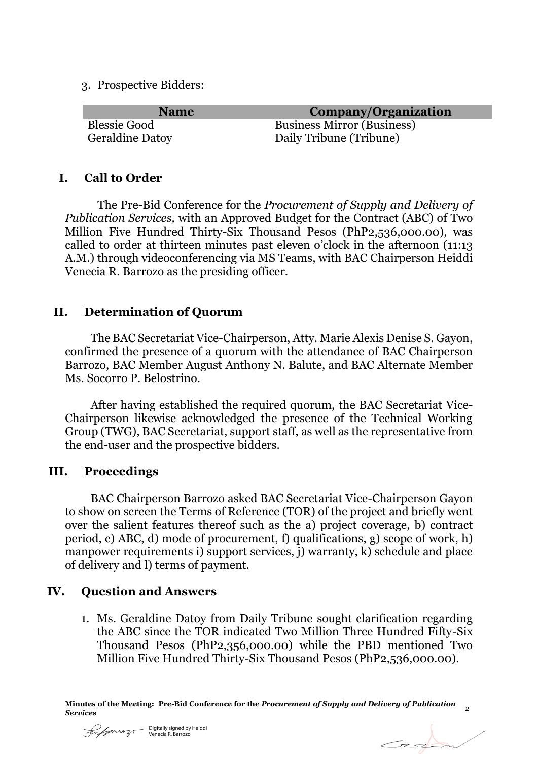3. Prospective Bidders:

| <b>Name</b>            | Company/Organization              |
|------------------------|-----------------------------------|
| <b>Blessie Good</b>    | <b>Business Mirror (Business)</b> |
| <b>Geraldine Datoy</b> | Daily Tribune (Tribune)           |

#### **I. Call to Order**

The Pre-Bid Conference for the *Procurement of Supply and Delivery of Publication Services,* with an Approved Budget for the Contract (ABC) of Two Million Five Hundred Thirty-Six Thousand Pesos (PhP2,536,000.00), was called to order at thirteen minutes past eleven o'clock in the afternoon (11:13 A.M.) through videoconferencing via MS Teams, with BAC Chairperson Heiddi Venecia R. Barrozo as the presiding officer.

### **II. Determination of Quorum**

The BAC Secretariat Vice-Chairperson, Atty. Marie Alexis Denise S. Gayon, confirmed the presence of a quorum with the attendance of BAC Chairperson Barrozo, BAC Member August Anthony N. Balute, and BAC Alternate Member Ms. Socorro P. Belostrino.

After having established the required quorum, the BAC Secretariat Vice-Chairperson likewise acknowledged the presence of the Technical Working Group (TWG), BAC Secretariat, support staff, as well as the representative from the end-user and the prospective bidders.

#### **III. Proceedings**

BAC Chairperson Barrozo asked BAC Secretariat Vice-Chairperson Gayon to show on screen the Terms of Reference (TOR) of the project and briefly went over the salient features thereof such as the a) project coverage, b) contract period, c) ABC, d) mode of procurement, f) qualifications, g) scope of work, h) manpower requirements i) support services, j) warranty, k) schedule and place of delivery and l) terms of payment.

# **IV. Question and Answers**

1. Ms. Geraldine Datoy from Daily Tribune sought clarification regarding the ABC since the TOR indicated Two Million Three Hundred Fifty-Six Thousand Pesos (PhP2,356,000.00) while the PBD mentioned Two Million Five Hundred Thirty-Six Thousand Pesos (PhP2,536,000.00).



 $C_z$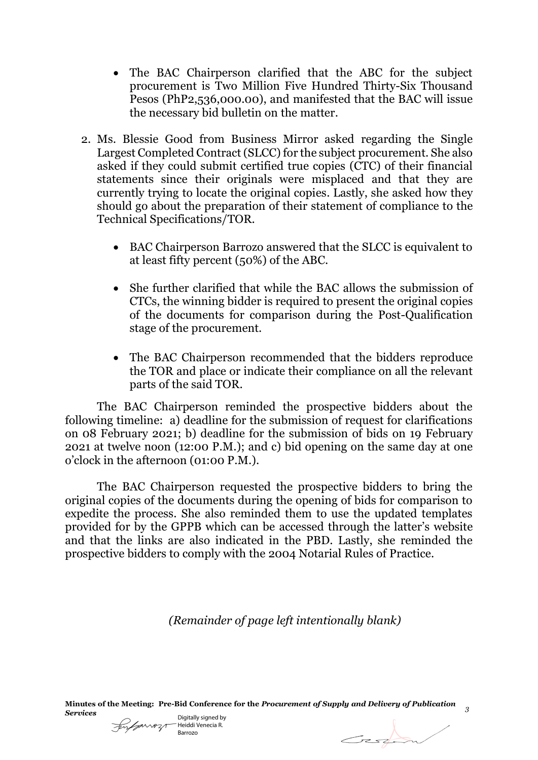- The BAC Chairperson clarified that the ABC for the subject procurement is Two Million Five Hundred Thirty-Six Thousand Pesos (PhP2,536,000.00), and manifested that the BAC will issue the necessary bid bulletin on the matter.
- 2. Ms. Blessie Good from Business Mirror asked regarding the Single Largest Completed Contract (SLCC) for the subject procurement. She also asked if they could submit certified true copies (CTC) of their financial statements since their originals were misplaced and that they are currently trying to locate the original copies. Lastly, she asked how they should go about the preparation of their statement of compliance to the Technical Specifications/TOR.
	- BAC Chairperson Barrozo answered that the SLCC is equivalent to at least fifty percent (50%) of the ABC.
	- She further clarified that while the BAC allows the submission of CTCs, the winning bidder is required to present the original copies of the documents for comparison during the Post-Qualification stage of the procurement.
	- The BAC Chairperson recommended that the bidders reproduce the TOR and place or indicate their compliance on all the relevant parts of the said TOR.

The BAC Chairperson reminded the prospective bidders about the following timeline: a) deadline for the submission of request for clarifications on 08 February 2021; b) deadline for the submission of bids on 19 February 2021 at twelve noon (12:00 P.M.); and c) bid opening on the same day at one o'clock in the afternoon (01:00 P.M.).

The BAC Chairperson requested the prospective bidders to bring the original copies of the documents during the opening of bids for comparison to expedite the process. She also reminded them to use the updated templates provided for by the GPPB which can be accessed through the latter's website and that the links are also indicated in the PBD. Lastly, she reminded the prospective bidders to comply with the 2004 Notarial Rules of Practice.

*(Remainder of page left intentionally blank)*

**Minutes of the Meeting: Pre-Bid Conference for the** *Procurement of Supply and Delivery of Publication Services <sup>3</sup>*

Digitally signed by Heiddi Venecia R. Barrozo

Gestion